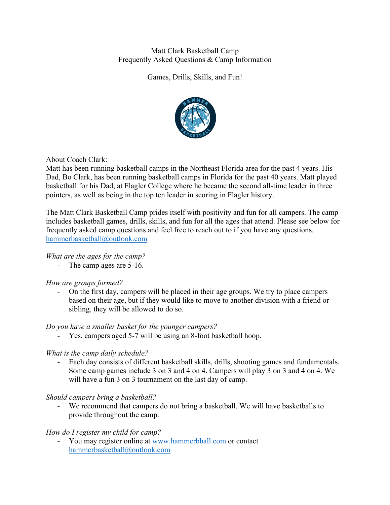# Matt Clark Basketball Camp Frequently Asked Questions & Camp Information

Games, Drills, Skills, and Fun!



About Coach Clark:

Matt has been running basketball camps in the Northeast Florida area for the past 4 years. His Dad, Bo Clark, has been running basketball camps in Florida for the past 40 years. Matt played basketball for his Dad, at Flagler College where he became the second all-time leader in three pointers, as well as being in the top ten leader in scoring in Flagler history.

The Matt Clark Basketball Camp prides itself with positivity and fun for all campers. The camp includes basketball games, drills, skills, and fun for all the ages that attend. Please see below for frequently asked camp questions and feel free to reach out to if you have any questions. hammerbasketball@outlook.com

# *What are the ages for the camp?*

- The camp ages are 5-16.

# *How are groups formed?*

- On the first day, campers will be placed in their age groups. We try to place campers based on their age, but if they would like to move to another division with a friend or sibling, they will be allowed to do so.

### *Do you have a smaller basket for the younger campers?*

Yes, campers aged 5-7 will be using an 8-foot basketball hoop.

### *What is the camp daily schedule?*

- Each day consists of different basketball skills, drills, shooting games and fundamentals. Some camp games include 3 on 3 and 4 on 4. Campers will play 3 on 3 and 4 on 4. We will have a fun 3 on 3 tournament on the last day of camp.

### *Should campers bring a basketball?*

- We recommend that campers do not bring a basketball. We will have basketballs to provide throughout the camp.

### *How do I register my child for camp?*

You may register online at www.hammerbball.com or contact hammerbasketball@outlook.com